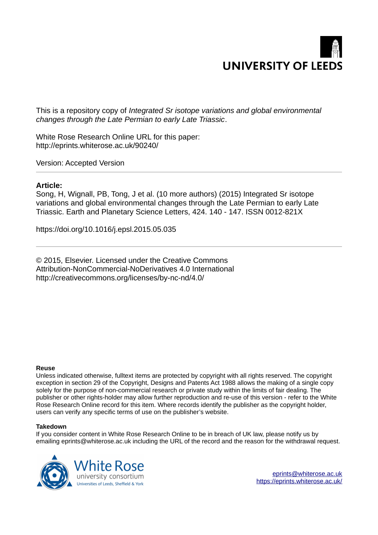

This is a repository copy of *Integrated Sr isotope variations and global environmental changes through the Late Permian to early Late Triassic*.

White Rose Research Online URL for this paper: http://eprints.whiterose.ac.uk/90240/

Version: Accepted Version

#### **Article:**

Song, H, Wignall, PB, Tong, J et al. (10 more authors) (2015) Integrated Sr isotope variations and global environmental changes through the Late Permian to early Late Triassic. Earth and Planetary Science Letters, 424. 140 - 147. ISSN 0012-821X

https://doi.org/10.1016/j.epsl.2015.05.035

© 2015, Elsevier. Licensed under the Creative Commons Attribution-NonCommercial-NoDerivatives 4.0 International http://creativecommons.org/licenses/by-nc-nd/4.0/

#### **Reuse**

Unless indicated otherwise, fulltext items are protected by copyright with all rights reserved. The copyright exception in section 29 of the Copyright, Designs and Patents Act 1988 allows the making of a single copy solely for the purpose of non-commercial research or private study within the limits of fair dealing. The publisher or other rights-holder may allow further reproduction and re-use of this version - refer to the White Rose Research Online record for this item. Where records identify the publisher as the copyright holder, users can verify any specific terms of use on the publisher's website.

#### **Takedown**

If you consider content in White Rose Research Online to be in breach of UK law, please notify us by emailing eprints@whiterose.ac.uk including the URL of the record and the reason for the withdrawal request.



[eprints@whiterose.ac.uk](mailto:eprints@whiterose.ac.uk) <https://eprints.whiterose.ac.uk/>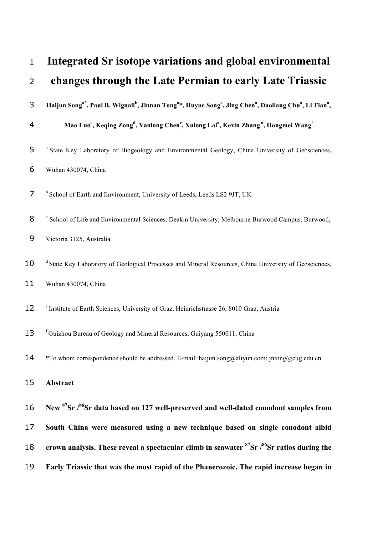| $\mathbf{1}$   | Integrated Sr isotope variations and global environmental                                                                                                                                    |
|----------------|----------------------------------------------------------------------------------------------------------------------------------------------------------------------------------------------|
| $\overline{2}$ | changes through the Late Permian to early Late Triassic                                                                                                                                      |
| 3              | Haijun Song <sup>a*</sup> , Paul B. Wignall <sup>b</sup> , Jinnan Tong <sup>a*</sup> , Huyue Song <sup>a</sup> , Jing Chen <sup>a</sup> , Daoliang Chu <sup>a</sup> , Li Tian <sup>a</sup> , |
| 4              | Mao Luo <sup>c</sup> , Keqing Zong <sup>d</sup> , Yanlong Chen <sup>e</sup> , Xulong Lai <sup>a</sup> , Kexin Zhang <sup>a</sup> , Hongmei Wang <sup>f</sup>                                 |
| 5              | <sup>a</sup> State Key Laboratory of Biogeology and Environmental Geology, China University of Geosciences,                                                                                  |
| 6              | Wuhan 430074, China                                                                                                                                                                          |
| 7              | <sup>b</sup> School of Earth and Environment, University of Leeds, Leeds LS2 9JT, UK                                                                                                         |
| 8              | <sup>c</sup> School of Life and Environmental Sciences, Deakin University, Melbourne Burwood Campus, Burwood,                                                                                |
| 9              | Victoria 3125, Australia                                                                                                                                                                     |
| 10             | <sup>d</sup> State Key Laboratory of Geological Processes and Mineral Resources, China University of Geosciences,                                                                            |
| 11             | Wuhan 430074, China                                                                                                                                                                          |
| 12             | e Institute of Earth Sciences, University of Graz, Heinrichstrasse 26, 8010 Graz, Austria                                                                                                    |
| 13             | <sup>f</sup> Guizhou Bureau of Geology and Mineral Resources, Guiyang 550011, China                                                                                                          |
| 14             | *To whom correspondence should be addressed. E-mail: haijun.song@aliyun.com; jntong@cug.edu.cn                                                                                               |
| 15             | Abstract                                                                                                                                                                                     |
| 16             | New <sup>87</sup> Sr / <sup>86</sup> Sr data based on 127 well-preserved and well-dated conodont samples from                                                                                |
| 17             | South China were measured using a new technique based on single conodont albid                                                                                                               |
| 18             | crown analysis. These reveal a spectacular climb in seawater $87$ Sr $/86$ Sr ratios during the                                                                                              |
| 19             | Early Triassic that was the most rapid of the Phanerozoic. The rapid increase began in                                                                                                       |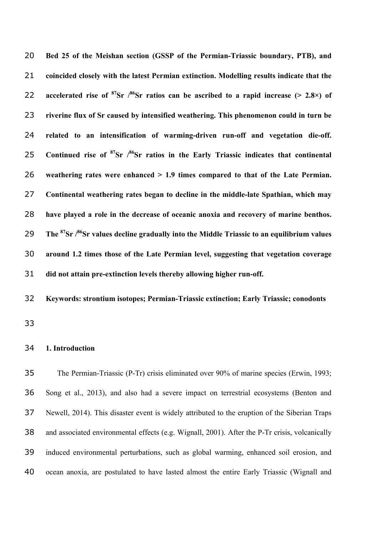**Bed 25 of the Meishan section (GSSP of the Permian-Triassic boundary, PTB), and coincided closely with the latest Permian extinction. Modelling results indicate that the accelerated rise** of <sup>87</sup>Sr  $\frac{86}{5}$ Sr ratios can be ascribed to a rapid increase (> 2.8×) of **riverine flux of Sr caused by intensified weathering. This phenomenon could in turn be related to an intensification of warming-driven run-off and vegetation die-off. Continued rise of <sup>87</sup>Sr /<sup>86</sup> Sr ratios in the Early Triassic indicates that continental weathering rates were enhanced > 1.9 times compared to that of the Late Permian. Continental weathering rates began to decline in the middle-late Spathian, which may have played a role in the decrease of oceanic anoxia and recovery of marine benthos. The <sup>87</sup>Sr /<sup>86</sup> Sr values decline gradually into the Middle Triassic to an equilibrium values around 1.2 times those of the Late Permian level, suggesting that vegetation coverage did not attain pre-extinction levels thereby allowing higher run-off.**

**Keywords: strontium isotopes; Permian-Triassic extinction; Early Triassic; conodonts**

#### **1. Introduction**

 The Permian-Triassic (P-Tr) crisis eliminated over 90% of marine species (Erwin, 1993; Song et al., 2013), and also had a severe impact on terrestrial ecosystems (Benton and Newell, 2014). This disaster event is widely attributed to the eruption of the Siberian Traps and associated environmental effects (e.g. Wignall, 2001). After the P-Tr crisis, volcanically induced environmental perturbations, such as global warming, enhanced soil erosion, and ocean anoxia, are postulated to have lasted almost the entire Early Triassic (Wignall and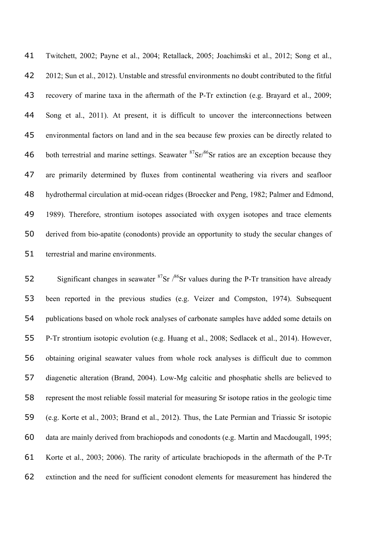Twitchett, 2002; Payne et al., 2004; Retallack, 2005; Joachimski et al., 2012; Song et al., 2012; Sun et al., 2012). Unstable and stressful environments no doubt contributed to the fitful recovery of marine taxa in the aftermath of the P-Tr extinction (e.g. Brayard et al., 2009; Song et al., 2011). At present, it is difficult to uncover the interconnections between environmental factors on land and in the sea because few proxies can be directly related to 46 both terrestrial and marine settings. Seawater  ${}^{87}Sr/{}^{86}Sr$  ratios are an exception because they are primarily determined by fluxes from continental weathering via rivers and seafloor hydrothermal circulation at mid-ocean ridges (Broecker and Peng, 1982; Palmer and Edmond, 1989). Therefore, strontium isotopes associated with oxygen isotopes and trace elements derived from bio-apatite (conodonts) provide an opportunity to study the secular changes of terrestrial and marine environments.

52 Significant changes in seawater  ${}^{87}Sr$  / ${}^{86}Sr$  values during the P-Tr transition have already been reported in the previous studies (e.g. Veizer and Compston, 1974). Subsequent publications based on whole rock analyses of carbonate samples have added some details on P-Tr strontium isotopic evolution (e.g. Huang et al., 2008; Sedlacek et al., 2014). However, obtaining original seawater values from whole rock analyses is difficult due to common diagenetic alteration (Brand, 2004). Low-Mg calcitic and phosphatic shells are believed to represent the most reliable fossil material for measuring Sr isotope ratios in the geologic time (e.g. Korte et al., 2003; Brand et al., 2012). Thus, the Late Permian and Triassic Sr isotopic data are mainly derived from brachiopods and conodonts (e.g. Martin and Macdougall, 1995; Korte et al., 2003; 2006). The rarity of articulate brachiopods in the aftermath of the P-Tr extinction and the need for sufficient conodont elements for measurement has hindered the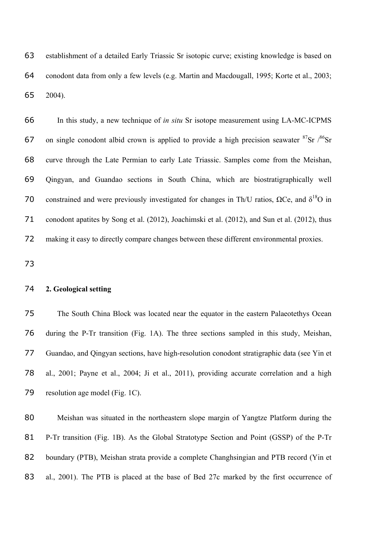establishment of a detailed Early Triassic Sr isotopic curve; existing knowledge is based on conodont data from only a few levels (e.g. Martin and Macdougall, 1995; Korte et al., 2003; 2004).

 In this study, a new technique of *in situ* Sr isotope measurement using LA-MC-ICPMS 67 on single conodont albid crown is applied to provide a high precision seawater  ${}^{87}Sr$  / ${}^{86}Sr$  curve through the Late Permian to early Late Triassic. Samples come from the Meishan, Qingyan, and Guandao sections in South China, which are biostratigraphically well 70 constrained and were previously investigated for changes in Th/U ratios,  $\Omega$ Ce, and  $\delta^{18}$ O in conodont apatites by Song et al. (2012), Joachimski et al. (2012), and Sun et al. (2012), thus making it easy to directly compare changes between these different environmental proxies.

# **2. Geological setting**

 The South China Block was located near the equator in the eastern Palaeotethys Ocean during the P-Tr transition (Fig. 1A). The three sections sampled in this study, Meishan, Guandao, and Qingyan sections, have high-resolution conodont stratigraphic data (see Yin et al., 2001; Payne et al., 2004; Ji et al., 2011), providing accurate correlation and a high resolution age model (Fig. 1C).

 Meishan was situated in the northeastern slope margin of Yangtze Platform during the P-Tr transition (Fig. 1B). As the Global Stratotype Section and Point (GSSP) of the P-Tr boundary (PTB), Meishan strata provide a complete Changhsingian and PTB record (Yin et 83 al., 2001). The PTB is placed at the base of Bed 27c marked by the first occurrence of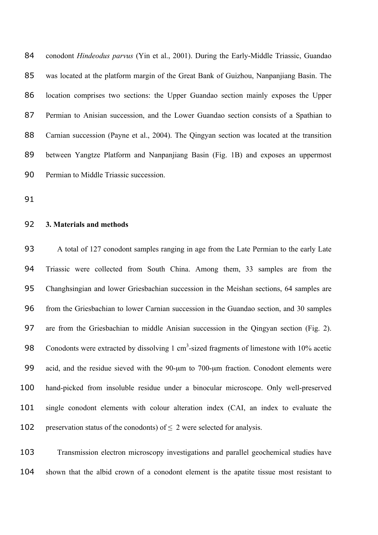conodont *Hindeodus parvus* (Yin et al., 2001). During the Early-Middle Triassic, Guandao was located at the platform margin of the Great Bank of Guizhou, Nanpanjiang Basin. The location comprises two sections: the Upper Guandao section mainly exposes the Upper Permian to Anisian succession, and the Lower Guandao section consists of a Spathian to Carnian succession (Payne et al., 2004). The Qingyan section was located at the transition between Yangtze Platform and Nanpanjiang Basin (Fig. 1B) and exposes an uppermost Permian to Middle Triassic succession.

## **3. Materials and methods**

 A total of 127 conodont samples ranging in age from the Late Permian to the early Late Triassic were collected from South China. Among them, 33 samples are from the Changhsingian and lower Griesbachian succession in the Meishan sections, 64 samples are from the Griesbachian to lower Carnian succession in the Guandao section, and 30 samples are from the Griesbachian to middle Anisian succession in the Qingyan section (Fig. 2). 98 Conodonts were extracted by dissolving  $1 \text{ cm}^3$ -sized fragments of limestone with 10% acetic 99 acid, and the residue sieved with the 90-um to 700-um fraction. Conodont elements were hand-picked from insoluble residue under a binocular microscope. Only well-preserved single conodont elements with colour alteration index (CAI, an index to evaluate the 102 preservation status of the conodonts) of  $\leq$  2 were selected for analysis.

 Transmission electron microscopy investigations and parallel geochemical studies have shown that the albid crown of a conodont element is the apatite tissue most resistant to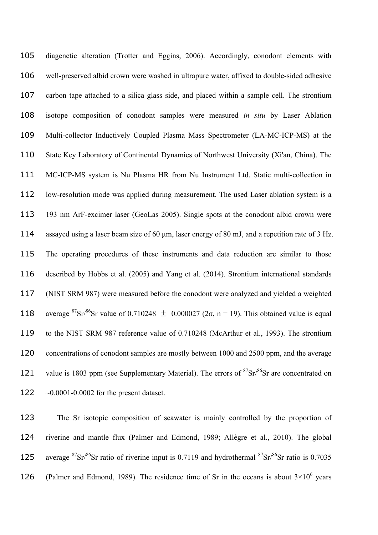diagenetic alteration (Trotter and Eggins, 2006). Accordingly, conodont elements with well-preserved albid crown were washed in ultrapure water, affixed to double-sided adhesive carbon tape attached to a silica glass side, and placed within a sample cell. The strontium isotope composition of conodont samples were measured *in situ* by Laser Ablation Multi-collector Inductively Coupled Plasma Mass Spectrometer (LA-MC-ICP-MS) at the State Key Laboratory of Continental Dynamics of Northwest University (Xi'an, China). The MC-ICP-MS system is Nu Plasma HR from Nu Instrument Ltd. Static multi-collection in low-resolution mode was applied during measurement. The used Laser ablation system is a 193 nm ArF-excimer laser (GeoLas 2005). Single spots at the conodont albid crown were 114 assayed using a laser beam size of 60 µm, laser energy of 80 mJ, and a repetition rate of 3 Hz. The operating procedures of these instruments and data reduction are similar to those described by Hobbs et al. (2005) and Yang et al. (2014). Strontium international standards (NIST SRM 987) were measured before the conodont were analyzed and yielded a weighted 118 average <sup>87</sup>Sr/<sup>86</sup>Sr value of 0.710248  $\pm$  0.000027 (2 $\sigma$ , n = 19). This obtained value is equal to the NIST SRM 987 reference value of 0.710248 (McArthur et al., 1993). The strontium 120 concentrations of conodont samples are mostly between 1000 and 2500 ppm, and the average 121 value is 1803 ppm (see Supplementary Material). The errors of  $87\text{Sr}/86\text{Sr}$  are concentrated on ~0.0001-0.0002 for the present dataset.

 The Sr isotopic composition of seawater is mainly controlled by the proportion of riverine and mantle flux (Palmer and Edmond, 1989; Allègre et al., 2010). The global 125 average  ${}^{87}Sr/{}^{86}Sr$  ratio of riverine input is 0.7119 and hydrothermal  ${}^{87}Sr/{}^{86}Sr$  ratio is 0.7035 126 (Palmer and Edmond, 1989). The residence time of Sr in the oceans is about  $3\times10^6$  years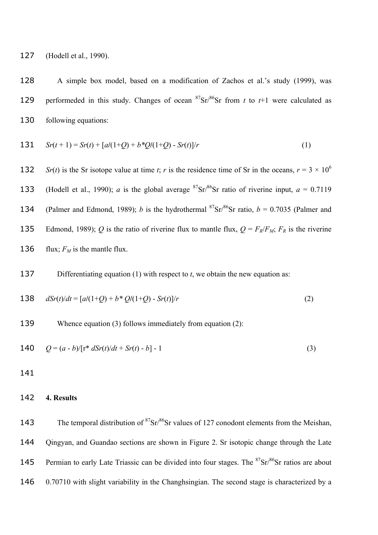127 (Hodell et al., 1990).

128 A simple box model, based on a modification of Zachos et al.'s study (1999), was 129 performeded in this study. Changes of ocean  ${}^{87}Sr/{}^{86}Sr$  from *t* to *t*+1 were calculated as 130 following equations:

131 
$$
Sr(t+1) = Sr(t) + [a/(1+Q) + b^*Q/(1+Q) - Sr(t)]/r
$$
 (1)

**132** *Sr(t)* is the Sr isotope value at time *t*; *r* is the residence time of Sr in the oceans,  $r = 3 \times 10^6$ 133 (Hodell et al., 1990); *a* is the global average <sup>87</sup>Sr/<sup>86</sup>Sr ratio of riverine input,  $a = 0.7119$ 134 (Palmer and Edmond, 1989); *b* is the hydrothermal <sup>87</sup>Sr/<sup>86</sup>Sr ratio, *b* = 0.7035 (Palmer and 135 Edmond, 1989); *Q* is the ratio of riverine flux to mantle flux,  $Q = F_R/F_M$ ;  $F_R$  is the riverine 136 flux;  $F_M$  is the mantle flux.

137 Differentiating equation (1) with respect to *t*, we obtain the new equation as:

138 
$$
dSr(t)/dt = [a/(1+Q) + b * Q/(1+Q) - Sr(t)]/r
$$
 (2)

139 Whence equation (3) follows immediately from equation (2):

140 
$$
Q = (a - b)/[\mathbf{r}^* d\mathbf{S}r(t)/dt + \mathbf{S}r(t) - b] - 1
$$
 (3)

141

### 142 **4. Results**

143 The temporal distribution of  ${}^{87}Sr/{}^{86}Sr$  values of 127 conodont elements from the Meishan, 144 Qingyan, and Guandao sections are shown in Figure 2. Sr isotopic change through the Late 145 Permian to early Late Triassic can be divided into four stages. The  $87\text{Sr}/86\text{Sr}$  ratios are about 146 0.70710 with slight variability in the Changhsingian. The second stage is characterized by a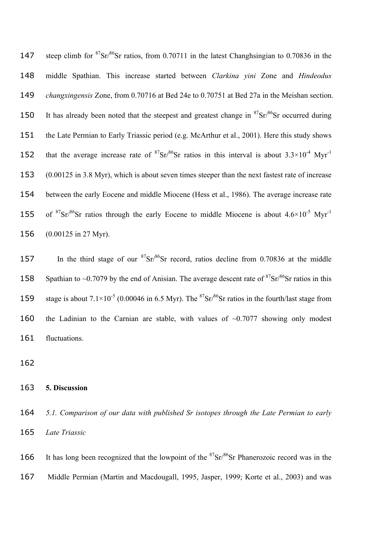147 steep climb for  ${}^{87}Sr/{}^{86}Sr$  ratios, from 0.70711 in the latest Changhsingian to 0.70836 in the 148 middle Spathian. This increase started between *Clarkina yini* Zone and *Hindeodus*  149 *changxingensis* Zone, from 0.70716 at Bed 24e to 0.70751 at Bed 27a in the Meishan section. 150 It has already been noted that the steepest and greatest change in  ${}^{87}Sr/{}^{86}Sr$  occurred during 151 the Late Permian to Early Triassic period (e.g. McArthur et al., 2001). Here this study shows 152 that the average increase rate of  ${}^{87}Sr/{}^{86}Sr$  ratios in this interval is about  $3.3\times10^{-4}$  Myr<sup>-1</sup> 153 (0.00125 in 3.8 Myr), which is about seven times steeper than the next fastest rate of increase 154 between the early Eocene and middle Miocene (Hess et al., 1986). The average increase rate 155 of <sup>87</sup>Sr/<sup>86</sup>Sr ratios through the early Eocene to middle Miocene is about  $4.6\times10^{-5}$  Myr<sup>-1</sup> 156 (0.00125 in 27 Myr).

157 In the third stage of our  ${}^{87}Sr/{}^{86}Sr$  record, ratios decline from 0.70836 at the middle 158 Spathian to ~0.7079 by the end of Anisian. The average descent rate of  ${}^{87}Sr/{}^{86}Sr$  ratios in this 159 stage is about  $7.1 \times 10^{-5}$  (0.00046 in 6.5 Myr). The  ${}^{87}Sr/{}^{86}Sr$  ratios in the fourth/last stage from 160 the Ladinian to the Carnian are stable, with values of  $\sim 0.7077$  showing only modest 161 fluctuations.

162

## 163 **5. Discussion**

164 *5.1. Comparison of our data with published Sr isotopes through the Late Permian to early*  165 *Late Triassic*

166 It has long been recognized that the lowpoint of the  $87\text{Sr}/86\text{Sr}$  Phanerozoic record was in the 167 Middle Permian (Martin and Macdougall, 1995, Jasper, 1999; Korte et al., 2003) and was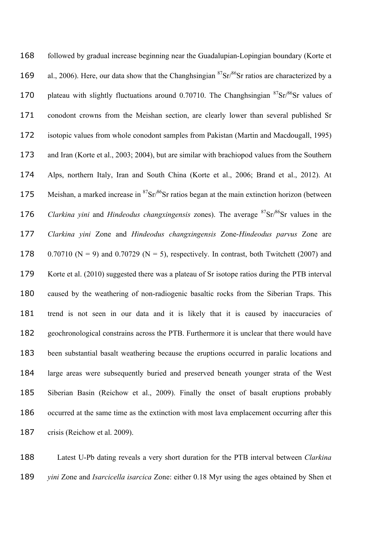| 168 | followed by gradual increase beginning near the Guadalupian-Lopingian boundary (Korte et                                      |
|-----|-------------------------------------------------------------------------------------------------------------------------------|
| 169 | al., 2006). Here, our data show that the Changhsingian ${}^{87}Sr/{}^{86}Sr$ ratios are characterized by a                    |
| 170 | plateau with slightly fluctuations around 0.70710. The Changhsingian <sup>87</sup> Sr/ <sup>86</sup> Sr values of             |
| 171 | conodont crowns from the Meishan section, are clearly lower than several published Sr                                         |
| 172 | isotopic values from whole conodont samples from Pakistan (Martin and Macdougall, 1995)                                       |
| 173 | and Iran (Korte et al., 2003; 2004), but are similar with brachiopod values from the Southern                                 |
| 174 | Alps, northern Italy, Iran and South China (Korte et al., 2006; Brand et al., 2012). At                                       |
| 175 | Meishan, a marked increase in ${}^{87}Sr/{}^{86}Sr$ ratios began at the main extinction horizon (between                      |
| 176 | <i>Clarkina yini</i> and <i>Hindeodus changxingensis</i> zones). The average <sup>87</sup> Sr/ <sup>86</sup> Sr values in the |
| 177 | Clarkina yini Zone and Hindeodus changxingensis Zone-Hindeodus parvus Zone are                                                |
| 178 | $0.70710$ (N = 9) and $0.70729$ (N = 5), respectively. In contrast, both Twitchett (2007) and                                 |
| 179 | Korte et al. (2010) suggested there was a plateau of Sr isotope ratios during the PTB interval                                |
| 180 | caused by the weathering of non-radiogenic basaltic rocks from the Siberian Traps. This                                       |
| 181 | trend is not seen in our data and it is likely that it is caused by inaccuracies of                                           |
| 182 | geochronological constrains across the PTB. Furthermore it is unclear that there would have                                   |
| 183 | been substantial basalt weathering because the eruptions occurred in paralic locations and                                    |
| 184 | large areas were subsequently buried and preserved beneath younger strata of the West                                         |
| 185 | Siberian Basin (Reichow et al., 2009). Finally the onset of basalt eruptions probably                                         |
| 186 | occurred at the same time as the extinction with most lava emplacement occurring after this                                   |
| 187 | crisis (Reichow et al. 2009).                                                                                                 |

 Latest U-Pb dating reveals a very short duration for the PTB interval between *Clarkina yini* Zone and *Isarcicella isarcica* Zone: either 0.18 Myr using the ages obtained by Shen et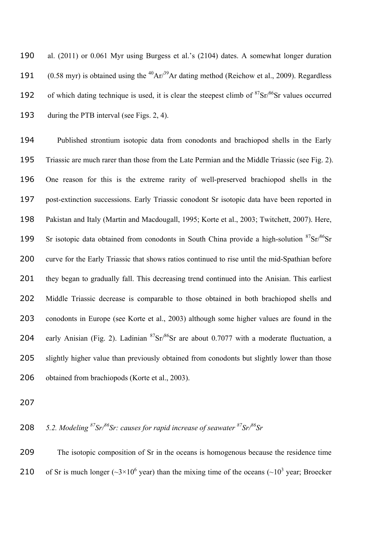al. (2011) or 0.061 Myr using Burgess et al.'s (2104) dates. A somewhat longer duration 191 (0.58 myr) is obtained using the  ${}^{40}Ar/{}^{39}Ar$  dating method (Reichow et al., 2009). Regardless 192 of which dating technique is used, it is clear the steepest climb of  ${}^{87}Sr/{}^{86}Sr$  values occurred during the PTB interval (see Figs. 2, 4).

 Published strontium isotopic data from conodonts and brachiopod shells in the Early Triassic are much rarer than those from the Late Permian and the Middle Triassic (see Fig. 2). One reason for this is the extreme rarity of well-preserved brachiopod shells in the post-extinction successions. Early Triassic conodont Sr isotopic data have been reported in Pakistan and Italy (Martin and Macdougall, 1995; Korte et al., 2003; Twitchett, 2007). Here, 199 Sr isotopic data obtained from conodonts in South China provide a high-solution  ${}^{87}Sr/{}^{86}Sr$ 200 curve for the Early Triassic that shows ratios continued to rise until the mid-Spathian before they began to gradually fall. This decreasing trend continued into the Anisian. This earliest Middle Triassic decrease is comparable to those obtained in both brachiopod shells and conodonts in Europe (see Korte et al., 2003) although some higher values are found in the 204 early Anisian (Fig. 2). Ladinian  ${}^{87}Sr/{}^{86}Sr$  are about 0.7077 with a moderate fluctuation, a 205 slightly higher value than previously obtained from conodonts but slightly lower than those obtained from brachiopods (Korte et al., 2003).

*5.2. Modeling <sup>87</sup>Sr/<sup>86</sup>Sr: causes for rapid increase of seawater <sup>87</sup>Sr/<sup>86</sup> Sr*

 The isotopic composition of Sr in the oceans is homogenous because the residence time 210 of Sr is much longer ( $\sim$ 3×10<sup>6</sup> year) than the mixing time of the oceans ( $\sim$ 10<sup>3</sup> year; Broecker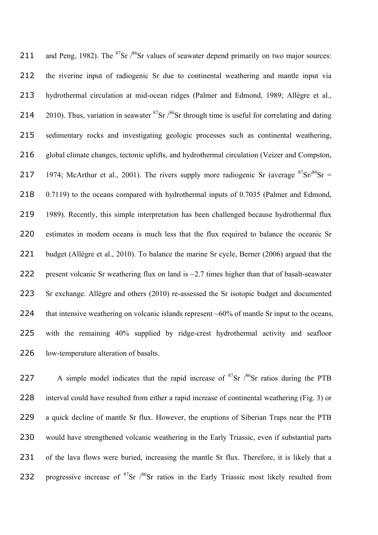211 and Peng, 1982). The  ${}^{87}Sr$  / ${}^{86}Sr$  values of seawater depend primarily on two major sources: 212 the riverine input of radiogenic Sr due to continental weathering and mantle input via 213 hydrothermal circulation at mid-ocean ridges (Palmer and Edmond, 1989; Allègre et al., 214 2010). Thus, variation in seawater  ${}^{87}Sr$  / ${}^{86}Sr$  through time is useful for correlating and dating 215 sedimentary rocks and investigating geologic processes such as continental weathering, 216 global climate changes, tectonic uplifts, and hydrothermal circulation (Veizer and Compston, 217 1974; McArthur et al., 2001). The rivers supply more radiogenic Sr (average  ${}^{87}Sr/{}^{86}Sr =$ 218 0.7119) to the oceans compared with hydrothermal inputs of 0.7035 (Palmer and Edmond, 219 1989). Recently, this simple interpretation has been challenged because hydrothermal flux 220 estimates in modern oceans is much less that the flux required to balance the oceanic Sr 221 budget (Allègre et al., 2010). To balance the marine Sr cycle, Berner (2006) argued that the 222 present volcanic Sr weathering flux on land is  $\sim$ 2.7 times higher than that of basalt-seawater 223 Sr exchange. Allègre and others (2010) re-assessed the Sr isotopic budget and documented 224 that intensive weathering on volcanic islands represent ~60% of mantle Sr input to the oceans, 225 with the remaining 40% supplied by ridge-crest hydrothermal activity and seafloor 226 low-temperature alteration of basalts.

227 A simple model indicates that the rapid increase of  ${}^{87}Sr$   $/{}^{86}Sr$  ratios during the PTB 228 interval could have resulted from either a rapid increase of continental weathering (Fig. 3) or 229 a quick decline of mantle Sr flux. However, the eruptions of Siberian Traps near the PTB 230 would have strengthened volcanic weathering in the Early Triassic, even if substantial parts 231 of the lava flows were buried, increasing the mantle Sr flux. Therefore, it is likely that a 232 progressive increase of  $87$ Sr  $/86$ Sr ratios in the Early Triassic most likely resulted from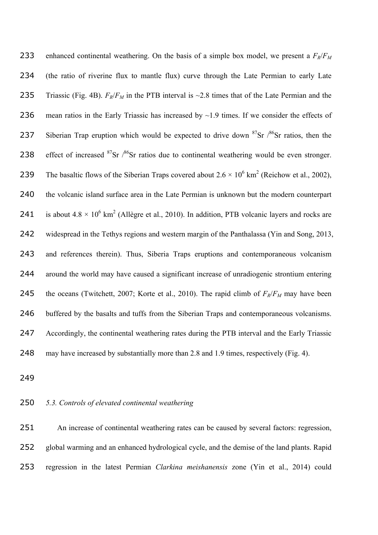233 enhanced continental weathering. On the basis of a simple box model, we present a  $F_R/F_M$  (the ratio of riverine flux to mantle flux) curve through the Late Permian to early Late 235 Triassic (Fig. 4B).  $F_R/F_M$  in the PTB interval is ~2.8 times that of the Late Permian and the 236 mean ratios in the Early Triassic has increased by  $\sim$  1.9 times. If we consider the effects of 237 Siberian Trap eruption which would be expected to drive down  $87\text{Sr}$  / $86\text{Sr}$  ratios, then the 238 effect of increased  ${}^{87}Sr$  / ${}^{86}Sr$  ratios due to continental weathering would be even stronger. 239 The basaltic flows of the Siberian Traps covered about  $2.6 \times 10^6$  km<sup>2</sup> (Reichow et al., 2002), the volcanic island surface area in the Late Permian is unknown but the modern counterpart 241 is about  $4.8 \times 10^6$  km<sup>2</sup> (Allègre et al., 2010). In addition, PTB volcanic layers and rocks are widespread in the Tethys regions and western margin of the Panthalassa (Yin and Song, 2013, and references therein). Thus, Siberia Traps eruptions and contemporaneous volcanism around the world may have caused a significant increase of unradiogenic strontium entering 245 the oceans (Twitchett, 2007; Korte et al., 2010). The rapid climb of  $F_R/F_M$  may have been buffered by the basalts and tuffs from the Siberian Traps and contemporaneous volcanisms. Accordingly, the continental weathering rates during the PTB interval and the Early Triassic may have increased by substantially more than 2.8 and 1.9 times, respectively (Fig. 4).

# *5.3. Controls of elevated continental weathering*

 An increase of continental weathering rates can be caused by several factors: regression, global warming and an enhanced hydrological cycle, and the demise of the land plants. Rapid regression in the latest Permian *Clarkina meishanensis* zone (Yin et al., 2014) could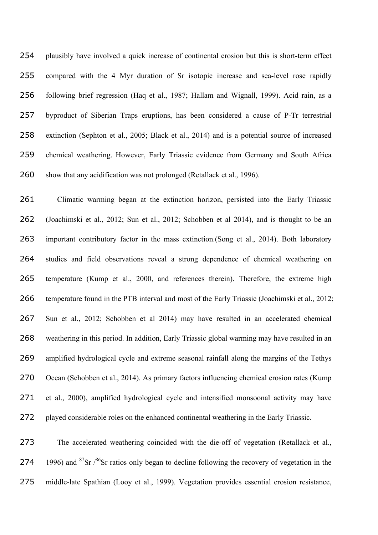plausibly have involved a quick increase of continental erosion but this is short-term effect compared with the 4 Myr duration of Sr isotopic increase and sea-level rose rapidly following brief regression (Haq et al., 1987; Hallam and Wignall, 1999). Acid rain, as a byproduct of Siberian Traps eruptions, has been considered a cause of P-Tr terrestrial extinction (Sephton et al., 2005; Black et al., 2014) and is a potential source of increased chemical weathering. However, Early Triassic evidence from Germany and South Africa 260 show that any acidification was not prolonged (Retallack et al., 1996).

 Climatic warming began at the extinction horizon, persisted into the Early Triassic (Joachimski et al., 2012; Sun et al., 2012; Schobben et al 2014), and is thought to be an important contributory factor in the mass extinction.(Song et al., 2014). Both laboratory studies and field observations reveal a strong dependence of chemical weathering on temperature (Kump et al., 2000, and references therein). Therefore, the extreme high temperature found in the PTB interval and most of the Early Triassic (Joachimski et al., 2012; Sun et al., 2012; Schobben et al 2014) may have resulted in an accelerated chemical weathering in this period. In addition, Early Triassic global warming may have resulted in an amplified hydrological cycle and extreme seasonal rainfall along the margins of the Tethys Ocean (Schobben et al., 2014). As primary factors influencing chemical erosion rates (Kump et al., 2000), amplified hydrological cycle and intensified monsoonal activity may have played considerable roles on the enhanced continental weathering in the Early Triassic.

 The accelerated weathering coincided with the die-off of vegetation (Retallack et al., 274 1996) and <sup>87</sup>Sr  $/86$ Sr ratios only began to decline following the recovery of vegetation in the middle-late Spathian (Looy et al., 1999). Vegetation provides essential erosion resistance,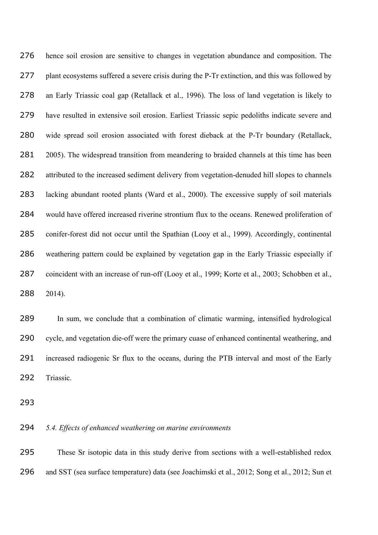hence soil erosion are sensitive to changes in vegetation abundance and composition. The 277 plant ecosystems suffered a severe crisis during the P-Tr extinction, and this was followed by an Early Triassic coal gap (Retallack et al., 1996). The loss of land vegetation is likely to have resulted in extensive soil erosion. Earliest Triassic sepic pedoliths indicate severe and wide spread soil erosion associated with forest dieback at the P-Tr boundary (Retallack, 281 2005). The widespread transition from meandering to braided channels at this time has been 282 attributed to the increased sediment delivery from vegetation-denuded hill slopes to channels lacking abundant rooted plants (Ward et al., 2000). The excessive supply of soil materials would have offered increased riverine strontium flux to the oceans. Renewed proliferation of conifer-forest did not occur until the Spathian (Looy et al., 1999). Accordingly, continental weathering pattern could be explained by vegetation gap in the Early Triassic especially if 287 coincident with an increase of run-off (Looy et al., 1999; Korte et al., 2003; Schobben et al., 2014).

 In sum, we conclude that a combination of climatic warming, intensified hydrological cycle, and vegetation die-off were the primary cuase of enhanced continental weathering, and increased radiogenic Sr flux to the oceans, during the PTB interval and most of the Early Triassic.

# *5.4. Effects of enhanced weathering on marine environments*

 These Sr isotopic data in this study derive from sections with a well-established redox and SST (sea surface temperature) data (see Joachimski et al., 2012; Song et al., 2012; Sun et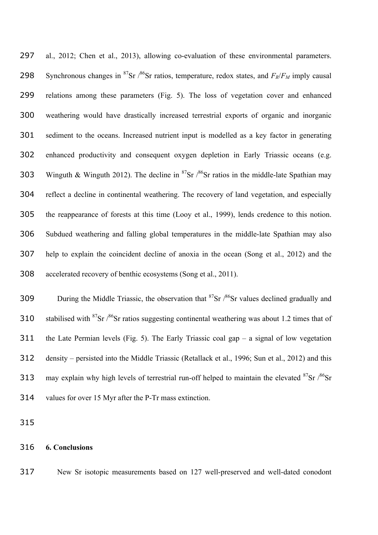al., 2012; Chen et al., 2013), allowing co-evaluation of these environmental parameters. Synchronous changes in <sup>87</sup>Sr /<sup>86</sup>Sr ratios, temperature, redox states, and  $F_R/F_M$  imply causal relations among these parameters (Fig. 5). The loss of vegetation cover and enhanced weathering would have drastically increased terrestrial exports of organic and inorganic sediment to the oceans. Increased nutrient input is modelled as a key factor in generating enhanced productivity and consequent oxygen depletion in Early Triassic oceans (e.g. 303 Winguth & Winguth 2012). The decline in <sup>87</sup>Sr  $\frac{86}{5}$  ratios in the middle-late Spathian may reflect a decline in continental weathering. The recovery of land vegetation, and especially the reappearance of forests at this time (Looy et al., 1999), lends credence to this notion. Subdued weathering and falling global temperatures in the middle-late Spathian may also help to explain the coincident decline of anoxia in the ocean (Song et al., 2012) and the accelerated recovery of benthic ecosystems (Song et al., 2011).

309 During the Middle Triassic, the observation that  ${}^{87}Sr$  / ${}^{86}Sr$  values declined gradually and 310 stabilised with <sup>87</sup>Sr  $/86$ Sr ratios suggesting continental weathering was about 1.2 times that of the Late Permian levels (Fig. 5). The Early Triassic coal gap – a signal of low vegetation density – persisted into the Middle Triassic (Retallack et al., 1996; Sun et al., 2012) and this 313 may explain why high levels of terrestrial run-off helped to maintain the elevated  $87\text{Sr}$  / $86\text{Sr}$ values for over 15 Myr after the P-Tr mass extinction.

## **6. Conclusions**

New Sr isotopic measurements based on 127 well-preserved and well-dated conodont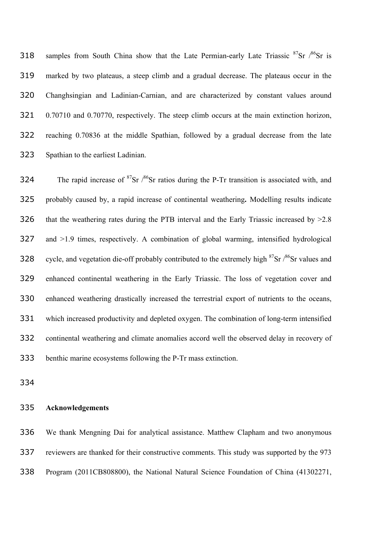318 samples from South China show that the Late Permian-early Late Triassic  ${}^{87}Sr$  / ${}^{86}Sr$  is marked by two plateaus, a steep climb and a gradual decrease. The plateaus occur in the Changhsingian and Ladinian-Carnian, and are characterized by constant values around 0.70710 and 0.70770, respectively. The steep climb occurs at the main extinction horizon, reaching 0.70836 at the middle Spathian, followed by a gradual decrease from the late Spathian to the earliest Ladinian.

324 The rapid increase of  ${}^{87}Sr$  / ${}^{86}Sr$  ratios during the P-Tr transition is associated with, and probably caused by, a rapid increase of continental weathering**.** Modelling results indicate 326 that the weathering rates during the PTB interval and the Early Triassic increased by  $>2.8$  and >1.9 times, respectively. A combination of global warming, intensified hydrological 328 cycle, and vegetation die-off probably contributed to the extremely high  $87\text{Sr}$  / $86\text{Sr}$  values and enhanced continental weathering in the Early Triassic. The loss of vegetation cover and enhanced weathering drastically increased the terrestrial export of nutrients to the oceans, which increased productivity and depleted oxygen. The combination of long-term intensified continental weathering and climate anomalies accord well the observed delay in recovery of benthic marine ecosystems following the P-Tr mass extinction.

## **Acknowledgements**

 We thank Mengning Dai for analytical assistance. Matthew Clapham and two anonymous reviewers are thanked for their constructive comments. This study was supported by the 973 Program (2011CB808800), the National Natural Science Foundation of China (41302271,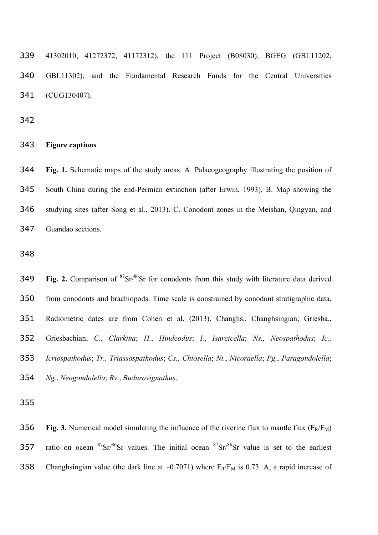41302010, 41272372, 41172312), the 111 Project (B08030), BGEG (GBL11202, GBL11302), and the Fundamental Research Funds for the Central Universities (CUG130407).

#### **Figure captions**

 **Fig. 1.** Schematic maps of the study areas. A. Palaeogeography illustrating the position of South China during the end-Permian extinction (after Erwin, 1993). B. Map showing the studying sites (after Song et al., 2013). C. Conodont zones in the Meishan, Qingyan, and Guandao sections.

**Fig. 2.** Comparison of  ${}^{87}Sr/{}^{86}Sr$  for conodonts from this study with literature data derived from conodonts and brachiopods. Time scale is constrained by conodont stratigraphic data. Radiometric dates are from Cohen et al. (2013). Changhs., Changhsingian; Griesba., Griesbachian; *C.*, *Clarkina*; *H.*, *Hindeodus*; *I.*, *Isarcicella*; *Ns.*, *Neospathodus*; *Ic., Icriospathodus*; *Tr., Triassospathodus*; *Cs.*, *Chiosella*; *Ni.*, *Nicoraella*; *Pg.*, *Paragondolella*; *Ng.*, *Neogondolella*; *Bv.*, *Budurovignathus*.

356 **Fig. 3.** Numerical model simulating the influence of the riverine flux to mantle flux  $(F_R/F_M)$ 357 ratio on ocean  ${}^{87}Sr/{}^{86}Sr$  values. The initial ocean  ${}^{87}Sr/{}^{86}Sr$  value is set to the earliest 358 Changhsingian value (the dark line at  $\sim 0.7071$ ) where  $F_R/F_M$  is 0.73. A, a rapid increase of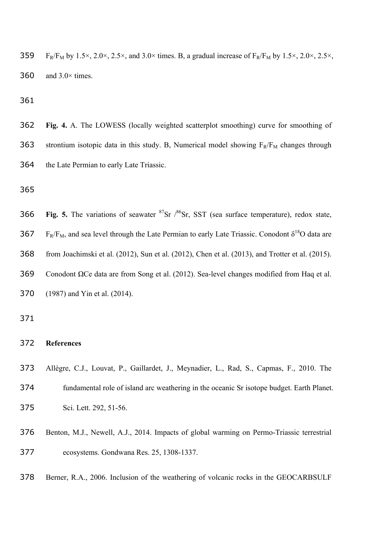359 F<sub>R</sub>/F<sub>M</sub> by 1.5×, 2.0×, 2.5×, and 3.0× times. B, a gradual increase of F<sub>R</sub>/F<sub>M</sub> by 1.5×, 2.0×, 2.5×, 360 and  $3.0 \times$  times.

 **Fig. 4.** A. The LOWESS (locally weighted scatterplot smoothing) curve for smoothing of 363 strontium isotopic data in this study. B, Numerical model showing  $F_R/F_M$  changes through the Late Permian to early Late Triassic.

 Fig. 5. The variations of seawater  ${}^{87}Sr$   $/{}^{86}Sr$ . SST (sea surface temperature), redox state, 367 F<sub>R</sub>/F<sub>M</sub>, and sea level through the Late Permian to early Late Triassic. Conodont  $\delta^{18}O$  data are from Joachimski et al. (2012), Sun et al. (2012), Chen et al. (2013), and Trotter et al. (2015). Conodont ΩCe data are from Song et al. (2012). Sea-level changes modified from Haq et al. (1987) and Yin et al. (2014).

#### **References**

- Allègre, C.J., Louvat, P., Gaillardet, J., Meynadier, L., Rad, S., Capmas, F., 2010. The fundamental role of island arc weathering in the oceanic Sr isotope budget. Earth Planet. Sci. Lett. 292, 51-56.
- Benton, M.J., Newell, A.J., 2014. Impacts of global warming on Permo-Triassic terrestrial ecosystems. Gondwana Res. 25, 1308-1337.
- Berner, R.A., 2006. Inclusion of the weathering of volcanic rocks in the GEOCARBSULF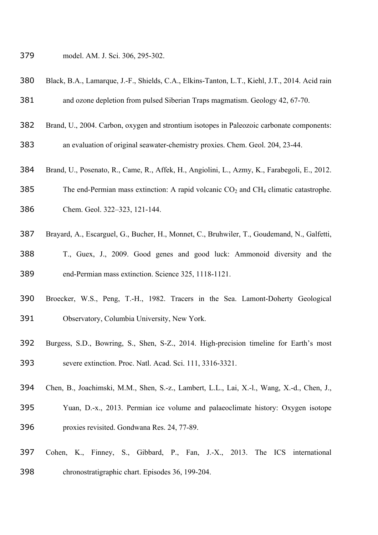- model. AM. J. Sci. 306, 295-302.
- Black, B.A., Lamarque, J.-F., Shields, C.A., Elkins-Tanton, L.T., Kiehl, J.T., 2014. Acid rain
- and ozone depletion from pulsed Siberian Traps magmatism. Geology 42, 67-70.
- Brand, U., 2004. Carbon, oxygen and strontium isotopes in Paleozoic carbonate components:
- an evaluation of original seawater-chemistry proxies. Chem. Geol. 204, 23-44.
- Brand, U., Posenato, R., Came, R., Affek, H., Angiolini, L., Azmy, K., Farabegoli, E., 2012.
- 385 The end-Permian mass extinction: A rapid volcanic  $CO<sub>2</sub>$  and  $CH<sub>4</sub>$  climatic catastrophe.
- Chem. Geol. 322–323, 121-144.
- Brayard, A., Escarguel, G., Bucher, H., Monnet, C., Bruhwiler, T., Goudemand, N., Galfetti,
- T., Guex, J., 2009. Good genes and good luck: Ammonoid diversity and the end-Permian mass extinction. Science 325, 1118-1121.
- Broecker, W.S., Peng, T.-H., 1982. Tracers in the Sea. Lamont-Doherty Geological Observatory, Columbia University, New York.
- Burgess, S.D., Bowring, S., Shen, S-Z., 2014. High-precision timeline for Earth's most severe extinction. Proc. Natl. Acad. Sci. 111, 3316-3321.
- Chen, B., Joachimski, M.M., Shen, S.-z., Lambert, L.L., Lai, X.-l., Wang, X.-d., Chen, J.,
- Yuan, D.-x., 2013. Permian ice volume and palaeoclimate history: Oxygen isotope proxies revisited. Gondwana Res. 24, 77-89.
- Cohen, K., Finney, S., Gibbard, P., Fan, J.-X., 2013. The ICS international chronostratigraphic chart. Episodes 36, 199-204.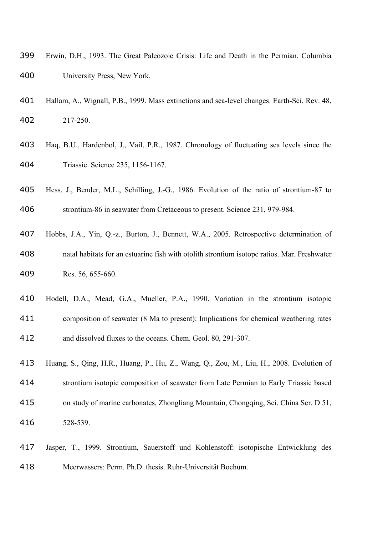- Erwin, D.H., 1993. The Great Paleozoic Crisis: Life and Death in the Permian. Columbia University Press, New York.
- Hallam, A., Wignall, P.B., 1999. Mass extinctions and sea-level changes. Earth-Sci. Rev. 48, 217-250.
- Haq, B.U., Hardenbol, J., Vail, P.R., 1987. Chronology of fluctuating sea levels since the Triassic. Science 235, 1156-1167.
- Hess, J., Bender, M.L., Schilling, J.-G., 1986. Evolution of the ratio of strontium-87 to

strontium-86 in seawater from Cretaceous to present. Science 231, 979-984.

- Hobbs, J.A., Yin, Q.-z., Burton, J., Bennett, W.A., 2005. Retrospective determination of natal habitats for an estuarine fish with otolith strontium isotope ratios. Mar. Freshwater Res. 56, 655-660.
- Hodell, D.A., Mead, G.A., Mueller, P.A., 1990. Variation in the strontium isotopic composition of seawater (8 Ma to present): Implications for chemical weathering rates and dissolved fluxes to the oceans. Chem. Geol. 80, 291-307.
- Huang, S., Qing, H.R., Huang, P., Hu, Z., Wang, Q., Zou, M., Liu, H., 2008. Evolution of
- strontium isotopic composition of seawater from Late Permian to Early Triassic based
- on study of marine carbonates, Zhongliang Mountain, Chongqing, Sci. China Ser. D 51, 528-539.
- Jasper, T., 1999. Strontium, Sauerstoff und Kohlenstoff: isotopische Entwicklung des Meerwassers: Perm. Ph.D. thesis. Ruhr-Universität Bochum.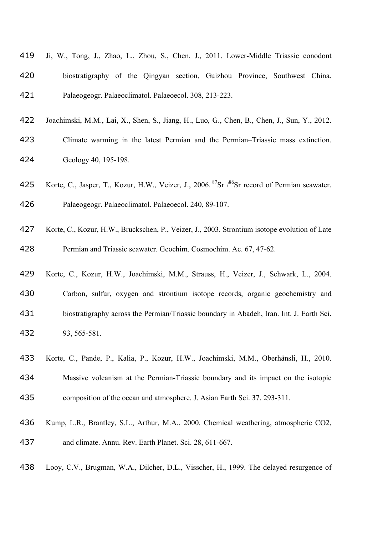|     | 419 Ji, W., Tong, J., Zhao, L., Zhou, S., Chen, J., 2011. Lower-Middle Triassic conodont |
|-----|------------------------------------------------------------------------------------------|
| 420 | biostratigraphy of the Qingyan section, Guizhou Province, Southwest China.               |
| 421 | Palaeogeogr. Palaeoclimatol. Palaeoecol. 308, 213-223.                                   |

- Joachimski, M.M., Lai, X., Shen, S., Jiang, H., Luo, G., Chen, B., Chen, J., Sun, Y., 2012.
- Climate warming in the latest Permian and the Permian–Triassic mass extinction. Geology 40, 195-198.
- 425 Korte, C., Jasper, T., Kozur, H.W., Veizer, J., 2006.<sup>87</sup>Sr /<sup>86</sup>Sr record of Permian seawater.
- Palaeogeogr. Palaeoclimatol. Palaeoecol. 240, 89-107.
- Korte, C., Kozur, H.W., Bruckschen, P., Veizer, J., 2003. Strontium isotope evolution of Late Permian and Triassic seawater. Geochim. Cosmochim. Ac. 67, 47-62.
- Korte, C., Kozur, H.W., Joachimski, M.M., Strauss, H., Veizer, J., Schwark, L., 2004.
- Carbon, sulfur, oxygen and strontium isotope records, organic geochemistry and biostratigraphy across the Permian/Triassic boundary in Abadeh, Iran. Int. J. Earth Sci. 93, 565-581.
- Korte, C., Pande, P., Kalia, P., Kozur, H.W., Joachimski, M.M., Oberhänsli, H., 2010.
- Massive volcanism at the Permian-Triassic boundary and its impact on the isotopic
- composition of the ocean and atmosphere. J. Asian Earth Sci. 37, 293-311.
- Kump, L.R., Brantley, S.L., Arthur, M.A., 2000. Chemical weathering, atmospheric CO2, and climate. Annu. Rev. Earth Planet. Sci. 28, 611-667.
- Looy, C.V., Brugman, W.A., Dilcher, D.L., Visscher, H., 1999. The delayed resurgence of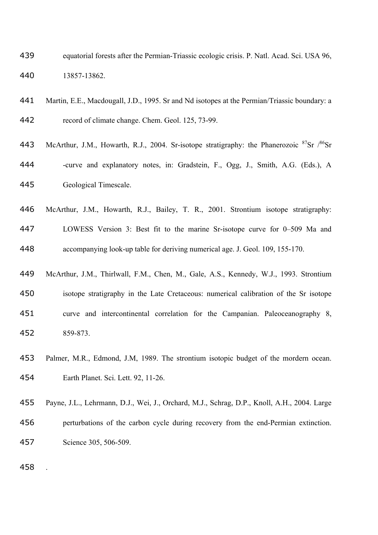- equatorial forests after the Permian-Triassic ecologic crisis. P. Natl. Acad. Sci. USA 96, 13857-13862.
- Martin, E.E., Macdougall, J.D., 1995. Sr and Nd isotopes at the Permian/Triassic boundary: a record of climate change. Chem. Geol. 125, 73-99.
- 443 McArthur, J.M., Howarth, R.J., 2004. Sr-isotope stratigraphy: the Phanerozoic  ${}^{87}Sr$   $/{}^{86}Sr$ 444 -curve and explanatory notes, in: Gradstein, F., Ogg, J., Smith, A.G. (Eds.), A Geological Timescale.
- McArthur, J.M., Howarth, R.J., Bailey, T. R., 2001. Strontium isotope stratigraphy: LOWESS Version 3: Best fit to the marine Sr-isotope curve for 0–509 Ma and accompanying look-up table for deriving numerical age. J. Geol. 109, 155-170.
- McArthur, J.M., Thirlwall, F.M., Chen, M., Gale, A.S., Kennedy, W.J., 1993. Strontium isotope stratigraphy in the Late Cretaceous: numerical calibration of the Sr isotope curve and intercontinental correlation for the Campanian. Paleoceanography 8, 859-873.
- Palmer, M.R., Edmond, J.M, 1989. The strontium isotopic budget of the mordern ocean. Earth Planet. Sci. Lett. 92, 11-26.
- Payne, J.L., Lehrmann, D.J., Wei, J., Orchard, M.J., Schrag, D.P., Knoll, A.H., 2004. Large perturbations of the carbon cycle during recovery from the end-Permian extinction. Science 305, 506-509.

.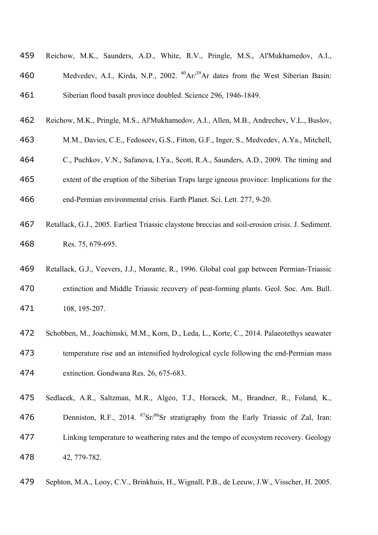| 459 | Reichow, M.K., Saunders, A.D., White, R.V., Pringle, M.S., Al'Mukhamedov, A.I.,                           |
|-----|-----------------------------------------------------------------------------------------------------------|
| 460 | Medvedev, A.I., Kirda, N.P., 2002. <sup>40</sup> Ar/ <sup>39</sup> Ar dates from the West Siberian Basin: |
| 461 | Siberian flood basalt province doubled. Science 296, 1946-1849.                                           |
| 462 | Reichow, M.K., Pringle, M.S., Al'Mukhamedov, A.I., Allen, M.B., Andrechev, V.L., Buslov,                  |
| 463 | M.M., Davies, C.E., Fedoseev, G.S., Fitton, G.F., Inger, S., Medvedev, A.Ya., Mitchell,                   |
| 464 | C., Puchkov, V.N., Safanova, I.Ya., Scott, R.A., Saunders, A.D., 2009. The timing and                     |
| 465 | extent of the eruption of the Siberian Traps large igneous province: Implications for the                 |
| 466 | end-Permian environmental crisis. Earth Planet. Sci. Lett. 277, 9-20.                                     |
| 467 | Retallack, G.J., 2005. Earliest Triassic claystone breccias and soil-erosion crisis. J. Sediment.         |

- Res. 75, 679-695.
- Retallack, G.J., Veevers, J.J., Morante, R., 1996. Global coal gap between Permian-Triassic extinction and Middle Triassic recovery of peat-forming plants. Geol. Soc. Am. Bull. 108, 195-207.
- Schobben, M., Joachimski, M.M., Korn, D., Leda, L., Korte, C., 2014. Palaeotethys seawater temperature rise and an intensified hydrological cycle following the end-Permian mass extinction. Gondwana Res. 26, 675-683.
- Sedlacek, A.R., Saltzman, M.R., Algeo, T.J., Horacek, M., Brandner, R., Foland, K.,
- 476 Denniston, R.F., 2014.  ${}^{87}Sr/{}^{86}Sr$  stratigraphy from the Early Triassic of Zal, Iran: Linking temperature to weathering rates and the tempo of ecosystem recovery. Geology 42, 779-782.
- Sephton, M.A., Looy, C.V., Brinkhuis, H., Wignall, P.B., de Leeuw, J.W., Visscher, H. 2005.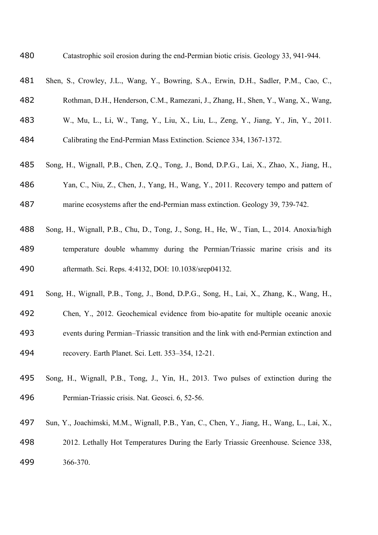Catastrophic soil erosion during the end-Permian biotic crisis. Geology 33, 941-944.

| 481 | Shen, S., Crowley, J.L., Wang, Y., Bowring, S.A., Erwin, D.H., Sadler, P.M., Cao, C.,      |
|-----|--------------------------------------------------------------------------------------------|
| 482 | Rothman, D.H., Henderson, C.M., Ramezani, J., Zhang, H., Shen, Y., Wang, X., Wang,         |
| 483 | W., Mu, L., Li, W., Tang, Y., Liu, X., Liu, L., Zeng, Y., Jiang, Y., Jin, Y., 2011.        |
| 484 | Calibrating the End-Permian Mass Extinction. Science 334, 1367-1372.                       |
| 485 | Song, H., Wignall, P.B., Chen, Z.Q., Tong, J., Bond, D.P.G., Lai, X., Zhao, X., Jiang, H., |
| 486 | Yan, C., Niu, Z., Chen, J., Yang, H., Wang, Y., 2011. Recovery tempo and pattern of        |
| 487 | marine ecosystems after the end-Permian mass extinction. Geology 39, 739-742.              |
| 488 | Song, H., Wignall, P.B., Chu, D., Tong, J., Song, H., He, W., Tian, L., 2014. Anoxia/high  |
| 489 | temperature double whammy during the Permian/Triassic marine crisis and its                |
| 490 | aftermath. Sci. Reps. 4:4132, DOI: 10.1038/srep04132.                                      |
| 491 | Song, H., Wignall, P.B., Tong, J., Bond, D.P.G., Song, H., Lai, X., Zhang, K., Wang, H.,   |
| 492 | Chen, Y., 2012. Geochemical evidence from bio-apatite for multiple oceanic anoxic          |
| 493 | events during Permian-Triassic transition and the link with end-Permian extinction and     |
| 494 | recovery. Earth Planet. Sci. Lett. 353-354, 12-21.                                         |

- Song, H., Wignall, P.B., Tong, J., Yin, H., 2013. Two pulses of extinction during the Permian-Triassic crisis. Nat. Geosci. 6, 52-56.
- Sun, Y., Joachimski, M.M., Wignall, P.B., Yan, C., Chen, Y., Jiang, H., Wang, L., Lai, X.,
- 2012. Lethally Hot Temperatures During the Early Triassic Greenhouse. Science 338, 366-370.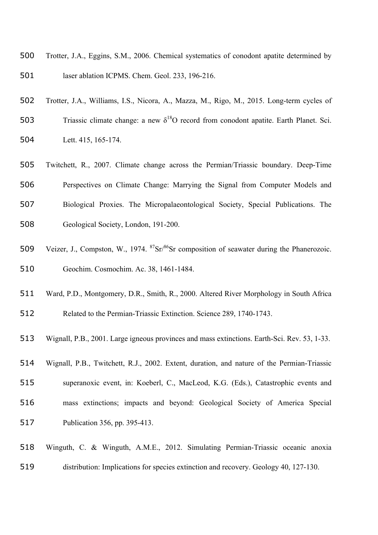- Trotter, J.A., Eggins, S.M., 2006. Chemical systematics of conodont apatite determined by laser ablation ICPMS. Chem. Geol. 233, 196-216.
- Trotter, J.A., Williams, I.S., Nicora, A., Mazza, M., Rigo, M., 2015. Long-term cycles of
- 503 Triassic climate change: a new  $\delta^{18}O$  record from conodont apatite. Earth Planet. Sci. Lett. 415, 165-174.
- Twitchett, R., 2007. Climate change across the Permian/Triassic boundary. Deep-Time Perspectives on Climate Change: Marrying the Signal from Computer Models and Biological Proxies. The Micropalaeontological Society, Special Publications. The Geological Society, London, 191-200.
- 509 Veizer, J., Compston, W., 1974.  ${}^{87}Sr/{}^{86}Sr$  composition of seawater during the Phanerozoic. Geochim. Cosmochim. Ac. 38, 1461-1484.
- Ward, P.D., Montgomery, D.R., Smith, R., 2000. Altered River Morphology in South Africa
- Related to the Permian-Triassic Extinction. Science 289, 1740-1743.
- Wignall, P.B., 2001. Large igneous provinces and mass extinctions. Earth-Sci. Rev. 53, 1-33.
- Wignall, P.B., Twitchett, R.J., 2002. Extent, duration, and nature of the Permian-Triassic
- superanoxic event, in: Koeberl, C., MacLeod, K.G. (Eds.), Catastrophic events and
- mass extinctions; impacts and beyond: Geological Society of America Special
- Publication 356, pp. 395-413.
- Winguth, C. & Winguth, A.M.E., 2012. Simulating Permian-Triassic oceanic anoxia distribution: Implications for species extinction and recovery. Geology 40, 127-130.